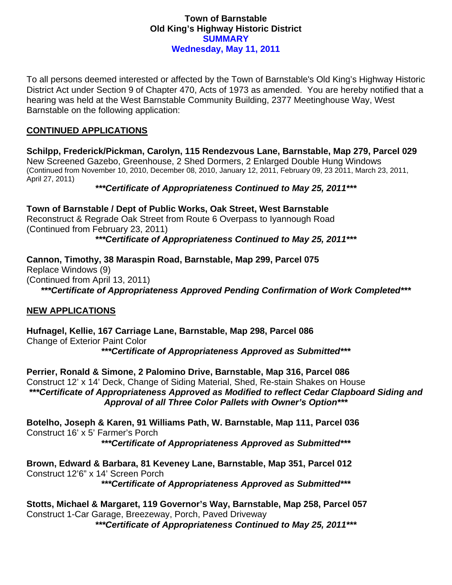### **Town of Barnstable Old King's Highway Historic District SUMMARY Wednesday, May 11, 2011**

To all persons deemed interested or affected by the Town of Barnstable's Old King's Highway Historic District Act under Section 9 of Chapter 470, Acts of 1973 as amended. You are hereby notified that a hearing was held at the West Barnstable Community Building, 2377 Meetinghouse Way, West Barnstable on the following application:

# **CONTINUED APPLICATIONS**

**Schilpp, Frederick/Pickman, Carolyn, 115 Rendezvous Lane, Barnstable, Map 279, Parcel 029**  New Screened Gazebo, Greenhouse, 2 Shed Dormers, 2 Enlarged Double Hung Windows (Continued from November 10, 2010, December 08, 2010, January 12, 2011, February 09, 23 2011, March 23, 2011, April 27, 2011)

# *\*\*\*Certificate of Appropriateness Continued to May 25, 2011\*\*\**

**Town of Barnstable / Dept of Public Works, Oak Street, West Barnstable**  Reconstruct & Regrade Oak Street from Route 6 Overpass to Iyannough Road (Continued from February 23, 2011)

# *\*\*\*Certificate of Appropriateness Continued to May 25, 2011\*\*\**

**Cannon, Timothy, 38 Maraspin Road, Barnstable, Map 299, Parcel 075**  Replace Windows (9) (Continued from April 13, 2011) *\*\*\*Certificate of Appropriateness Approved Pending Confirmation of Work Completed\*\*\** 

# **NEW APPLICATIONS**

**Hufnagel, Kellie, 167 Carriage Lane, Barnstable, Map 298, Parcel 086**  Change of Exterior Paint Color *\*\*\*Certificate of Appropriateness Approved as Submitted\*\*\** 

**Perrier, Ronald & Simone, 2 Palomino Drive, Barnstable, Map 316, Parcel 086**  Construct 12' x 14' Deck, Change of Siding Material, Shed, Re-stain Shakes on House *\*\*\*Certificate of Appropriateness Approved as Modified to reflect Cedar Clapboard Siding and Approval of all Three Color Pallets with Owner's Option\*\*\** 

**Botelho, Joseph & Karen, 91 Williams Path, W. Barnstable, Map 111, Parcel 036**  Construct 16' x 5' Farmer's Porch *\*\*\*Certificate of Appropriateness Approved as Submitted\*\*\** 

**Brown, Edward & Barbara, 81 Keveney Lane, Barnstable, Map 351, Parcel 012**  Construct 12'6" x 14' Screen Porch *\*\*\*Certificate of Appropriateness Approved as Submitted\*\*\** 

**Stotts, Michael & Margaret, 119 Governor's Way, Barnstable, Map 258, Parcel 057**  Construct 1-Car Garage, Breezeway, Porch, Paved Driveway

*\*\*\*Certificate of Appropriateness Continued to May 25, 2011\*\*\**